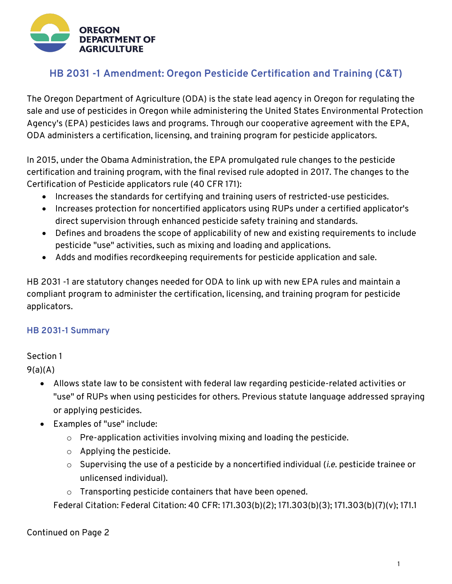

## **HB 2031 -1 Amendment: Oregon Pesticide Certification and Training (C&T)**

The Oregon Department of Agriculture (ODA) is the state lead agency in Oregon for regulating the sale and use of pesticides in Oregon while administering the United States Environmental Protection Agency's (EPA) pesticides laws and programs. Through our cooperative agreement with the EPA, ODA administers a certification, licensing, and training program for pesticide applicators.

In 2015, under the Obama Administration, the EPA promulgated rule changes to the pesticide certification and training program, with the final revised rule adopted in 2017. The changes to the Certification of Pesticide applicators rule (40 CFR 171):

- Increases the standards for certifying and training users of restricted-use pesticides.
- Increases protection for noncertified applicators using RUPs under a certified applicator's direct supervision through enhanced pesticide safety training and standards.
- Defines and broadens the scope of applicability of new and existing requirements to include pesticide "use" activities, such as mixing and loading and applications.
- Adds and modifies recordkeeping requirements for pesticide application and sale.

HB 2031 -1 are statutory changes needed for ODA to link up with new EPA rules and maintain a compliant program to administer the certification, licensing, and training program for pesticide applicators.

## **HB 2031-1 Summary**

## Section 1

 $9(a)(A)$ 

- Allows state law to be consistent with federal law regarding pesticide-related activities or "use" of RUPs when using pesticides for others. Previous statute language addressed spraying or applying pesticides.
- Examples of "use" include:
	- $\circ$  Pre-application activities involving mixing and loading the pesticide.
	- $\circ$  Applying the pesticide.
	- o Supervising the use of a pesticide by a noncertified individual (*i.e.* pesticide trainee or unlicensed individual).
	- o Transporting pesticide containers that have been opened.

Federal Citation: Federal Citation: 40 CFR: 171.303(b)(2); 171.303(b)(3); 171.303(b)(7)(v); 171.1

Continued on Page 2